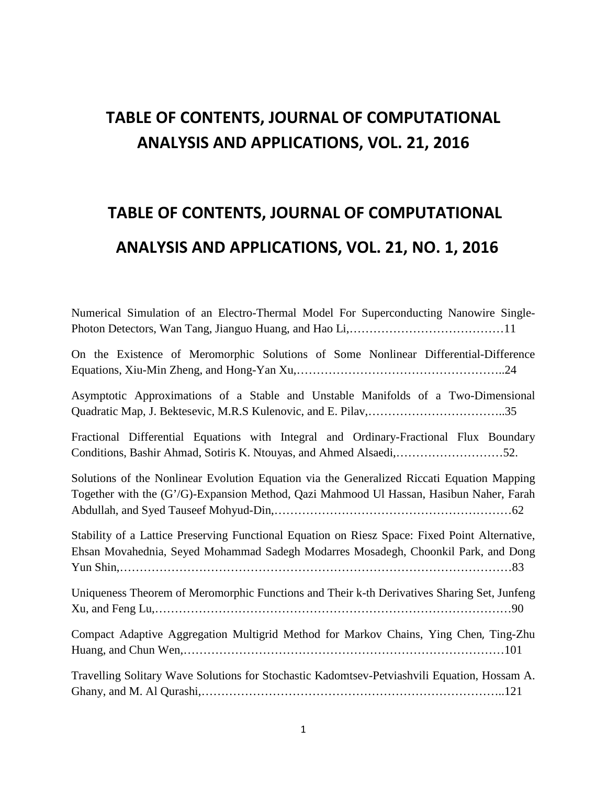# **TABLE OF CONTENTS, JOURNAL OF COMPUTATIONAL ANALYSIS AND APPLICATIONS, VOL. 21, 2016**

# **TABLE OF CONTENTS, JOURNAL OF COMPUTATIONAL ANALYSIS AND APPLICATIONS, VOL. 21, NO. 1, 2016**

| Numerical Simulation of an Electro-Thermal Model For Superconducting Nanowire Single-                                                                                                 |
|---------------------------------------------------------------------------------------------------------------------------------------------------------------------------------------|
| On the Existence of Meromorphic Solutions of Some Nonlinear Differential-Difference                                                                                                   |
| Asymptotic Approximations of a Stable and Unstable Manifolds of a Two-Dimensional                                                                                                     |
| Fractional Differential Equations with Integral and Ordinary-Fractional Flux Boundary                                                                                                 |
| Solutions of the Nonlinear Evolution Equation via the Generalized Riccati Equation Mapping<br>Together with the (G'/G)-Expansion Method, Qazi Mahmood Ul Hassan, Hasibun Naher, Farah |
| Stability of a Lattice Preserving Functional Equation on Riesz Space: Fixed Point Alternative,<br>Ehsan Movahednia, Seyed Mohammad Sadegh Modarres Mosadegh, Choonkil Park, and Dong  |
| Uniqueness Theorem of Meromorphic Functions and Their k-th Derivatives Sharing Set, Junfeng                                                                                           |
| Compact Adaptive Aggregation Multigrid Method for Markov Chains, Ying Chen, Ting-Zhu                                                                                                  |
| Travelling Solitary Wave Solutions for Stochastic Kadomtsev-Petviashvili Equation, Hossam A.                                                                                          |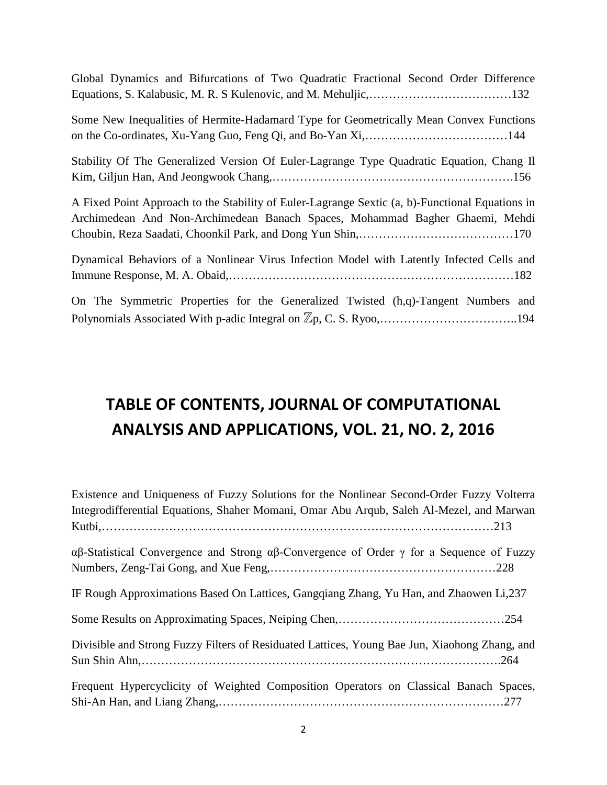Global Dynamics and Bifurcations of Two Quadratic Fractional Second Order Difference Equations, S. Kalabusic, M. R. S Kulenovic, and M. Mehuljic,………………………………132

Some New Inequalities of Hermite-Hadamard Type for Geometrically Mean Convex Functions on the Co-ordinates, Xu-Yang Guo, Feng Qi, and Bo-Yan Xi,………………………………144

Stability Of The Generalized Version Of Euler-Lagrange Type Quadratic Equation, Chang Il Kim, Giljun Han, And Jeongwook Chang,…………………………………………………….156

A Fixed Point Approach to the Stability of Euler-Lagrange Sextic (a, b)-Functional Equations in Archimedean And Non-Archimedean Banach Spaces, Mohammad Bagher Ghaemi, Mehdi Choubin, Reza Saadati, Choonkil Park, and Dong Yun Shin,…………………………………170

Dynamical Behaviors of a Nonlinear Virus Infection Model with Latently Infected Cells and Immune Response, M. A. Obaid,………………………………………………………………182

On The Symmetric Properties for the Generalized Twisted (h,q)-Tangent Numbers and Polynomials Associated With p-adic Integral on Zp, C. S. Ryoo,……………………………..194

#### **TABLE OF CONTENTS, JOURNAL OF COMPUTATIONAL ANALYSIS AND APPLICATIONS, VOL. 21, NO. 2, 2016**

| Existence and Uniqueness of Fuzzy Solutions for the Nonlinear Second-Order Fuzzy Volterra      |
|------------------------------------------------------------------------------------------------|
| Integrodifferential Equations, Shaher Momani, Omar Abu Arqub, Saleh Al-Mezel, and Marwan       |
|                                                                                                |
| αβ-Statistical Convergence and Strong αβ-Convergence of Order $\gamma$ for a Sequence of Fuzzy |
|                                                                                                |
| IF Rough Approximations Based On Lattices, Gangqiang Zhang, Yu Han, and Zhaowen Li,237         |
|                                                                                                |
| Divisible and Strong Fuzzy Filters of Residuated Lattices, Young Bae Jun, Xiaohong Zhang, and  |
|                                                                                                |
| Frequent Hypercyclicity of Weighted Composition Operators on Classical Banach Spaces,          |
|                                                                                                |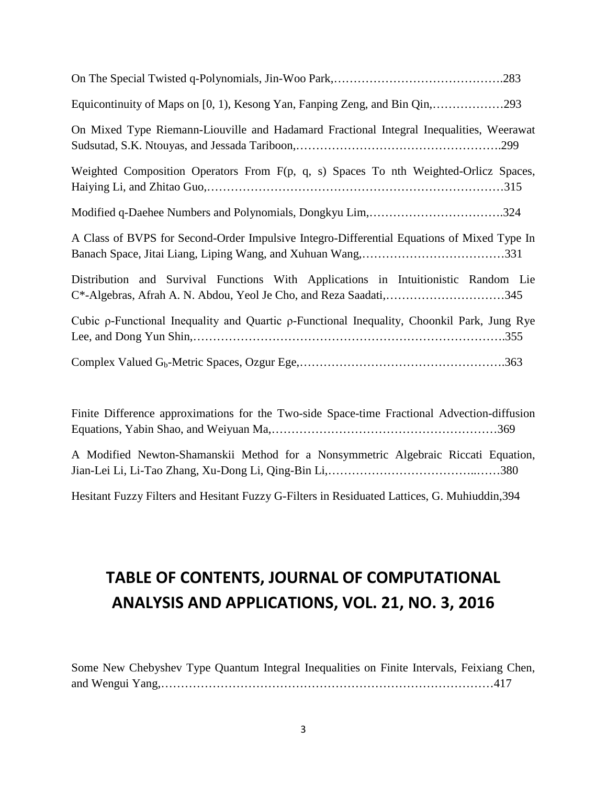| Equicontinuity of Maps on [0, 1), Kesong Yan, Fanping Zeng, and Bin Qin,293                                                                             |
|---------------------------------------------------------------------------------------------------------------------------------------------------------|
| On Mixed Type Riemann-Liouville and Hadamard Fractional Integral Inequalities, Weerawat                                                                 |
| Weighted Composition Operators From F(p, q, s) Spaces To nth Weighted-Orlicz Spaces,                                                                    |
| Modified q-Daehee Numbers and Polynomials, Dongkyu Lim,324                                                                                              |
| A Class of BVPS for Second-Order Impulsive Integro-Differential Equations of Mixed Type In                                                              |
| Distribution and Survival Functions With Applications in Intuitionistic Random Lie<br>C*-Algebras, Afrah A. N. Abdou, Yeol Je Cho, and Reza Saadati,345 |
| Cubic ρ-Functional Inequality and Quartic ρ-Functional Inequality, Choonkil Park, Jung Rye                                                              |
|                                                                                                                                                         |

Finite Difference approximations for the Two-side Space-time Fractional Advection-diffusion Equations, Yabin Shao, and Weiyuan Ma,…………………………………………………369 A Modified Newton-Shamanskii Method for a Nonsymmetric Algebraic Riccati Equation, Jian-Lei Li, Li-Tao Zhang, Xu-Dong Li, Qing-Bin Li,………………………………..……380

Hesitant Fuzzy Filters and Hesitant Fuzzy G-Filters in Residuated Lattices, G. Muhiuddin,394

# **TABLE OF CONTENTS, JOURNAL OF COMPUTATIONAL ANALYSIS AND APPLICATIONS, VOL. 21, NO. 3, 2016**

Some New Chebyshev Type Quantum Integral Inequalities on Finite Intervals, Feixiang Chen, and Wengui Yang,…………………………………………………………………………417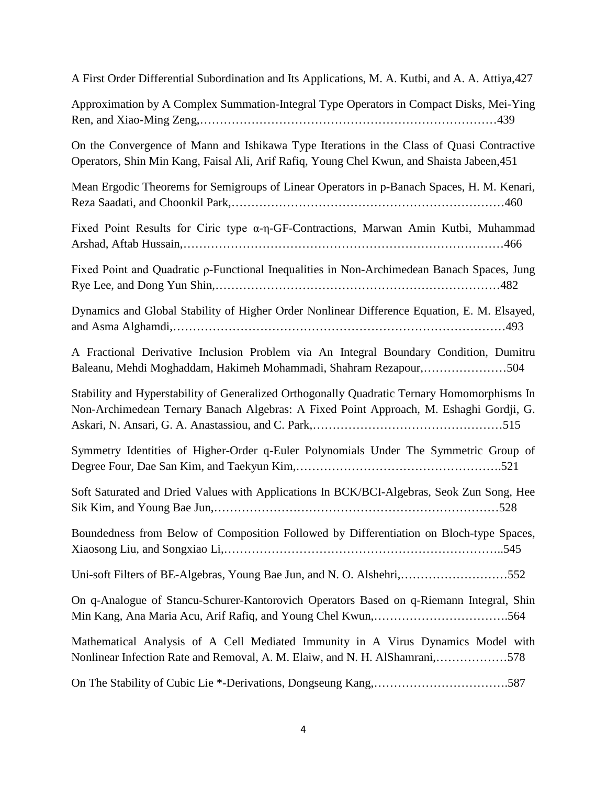| A First Order Differential Subordination and Its Applications, M. A. Kutbi, and A. A. Attiya, 427                                                                                       |
|-----------------------------------------------------------------------------------------------------------------------------------------------------------------------------------------|
| Approximation by A Complex Summation-Integral Type Operators in Compact Disks, Mei-Ying                                                                                                 |
| On the Convergence of Mann and Ishikawa Type Iterations in the Class of Quasi Contractive<br>Operators, Shin Min Kang, Faisal Ali, Arif Rafiq, Young Chel Kwun, and Shaista Jabeen, 451 |
| Mean Ergodic Theorems for Semigroups of Linear Operators in p-Banach Spaces, H. M. Kenari,                                                                                              |
| Fixed Point Results for Ciric type $\alpha$ -η-GF-Contractions, Marwan Amin Kutbi, Muhammad                                                                                             |
| Fixed Point and Quadratic p-Functional Inequalities in Non-Archimedean Banach Spaces, Jung                                                                                              |
| Dynamics and Global Stability of Higher Order Nonlinear Difference Equation, E. M. Elsayed,                                                                                             |
| A Fractional Derivative Inclusion Problem via An Integral Boundary Condition, Dumitru<br>Baleanu, Mehdi Moghaddam, Hakimeh Mohammadi, Shahram Rezapour,504                              |
| Stability and Hyperstability of Generalized Orthogonally Quadratic Ternary Homomorphisms In<br>Non-Archimedean Ternary Banach Algebras: A Fixed Point Approach, M. Eshaghi Gordji, G.   |
| Symmetry Identities of Higher-Order q-Euler Polynomials Under The Symmetric Group of                                                                                                    |
| Soft Saturated and Dried Values with Applications In BCK/BCI-Algebras, Seok Zun Song, Hee                                                                                               |
| Boundedness from Below of Composition Followed by Differentiation on Bloch-type Spaces,                                                                                                 |
| Uni-soft Filters of BE-Algebras, Young Bae Jun, and N. O. Alshehri,552                                                                                                                  |
| On q-Analogue of Stancu-Schurer-Kantorovich Operators Based on q-Riemann Integral, Shin                                                                                                 |
| Mathematical Analysis of A Cell Mediated Immunity in A Virus Dynamics Model with<br>Nonlinear Infection Rate and Removal, A. M. Elaiw, and N. H. AlShamrani,578                         |
| On The Stability of Cubic Lie *-Derivations, Dongseung Kang,587                                                                                                                         |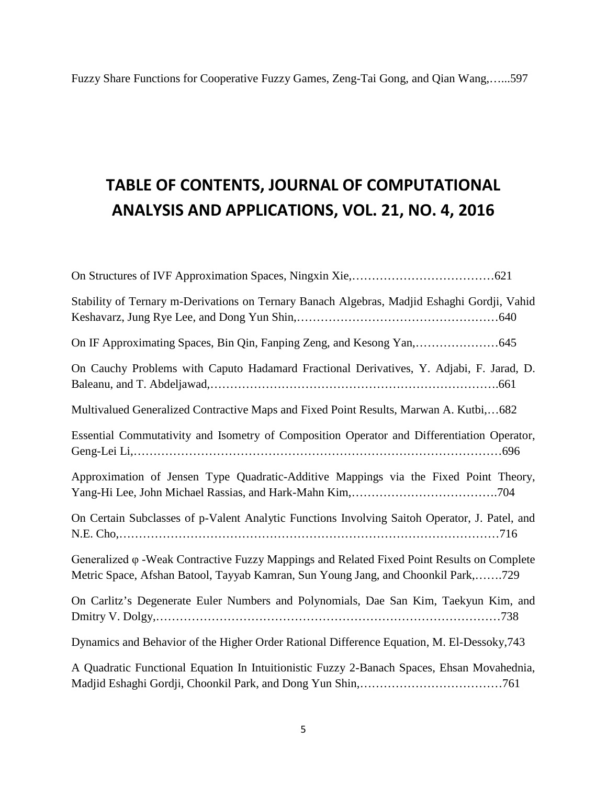### **TABLE OF CONTENTS, JOURNAL OF COMPUTATIONAL ANALYSIS AND APPLICATIONS, VOL. 21, NO. 4, 2016**

| Stability of Ternary m-Derivations on Ternary Banach Algebras, Madjid Eshaghi Gordji, Vahid                                                                                             |
|-----------------------------------------------------------------------------------------------------------------------------------------------------------------------------------------|
| On IF Approximating Spaces, Bin Qin, Fanping Zeng, and Kesong Yan, 645                                                                                                                  |
| On Cauchy Problems with Caputo Hadamard Fractional Derivatives, Y. Adjabi, F. Jarad, D.                                                                                                 |
| Multivalued Generalized Contractive Maps and Fixed Point Results, Marwan A. Kutbi,682                                                                                                   |
| Essential Commutativity and Isometry of Composition Operator and Differentiation Operator,                                                                                              |
| Approximation of Jensen Type Quadratic-Additive Mappings via the Fixed Point Theory,                                                                                                    |
| On Certain Subclasses of p-Valent Analytic Functions Involving Saitoh Operator, J. Patel, and                                                                                           |
| Generalized $\varphi$ -Weak Contractive Fuzzy Mappings and Related Fixed Point Results on Complete<br>Metric Space, Afshan Batool, Tayyab Kamran, Sun Young Jang, and Choonkil Park,729 |
| On Carlitz's Degenerate Euler Numbers and Polynomials, Dae San Kim, Taekyun Kim, and                                                                                                    |
| Dynamics and Behavior of the Higher Order Rational Difference Equation, M. El-Dessoky, 743                                                                                              |
| A Quadratic Functional Equation In Intuitionistic Fuzzy 2-Banach Spaces, Ehsan Movahednia,                                                                                              |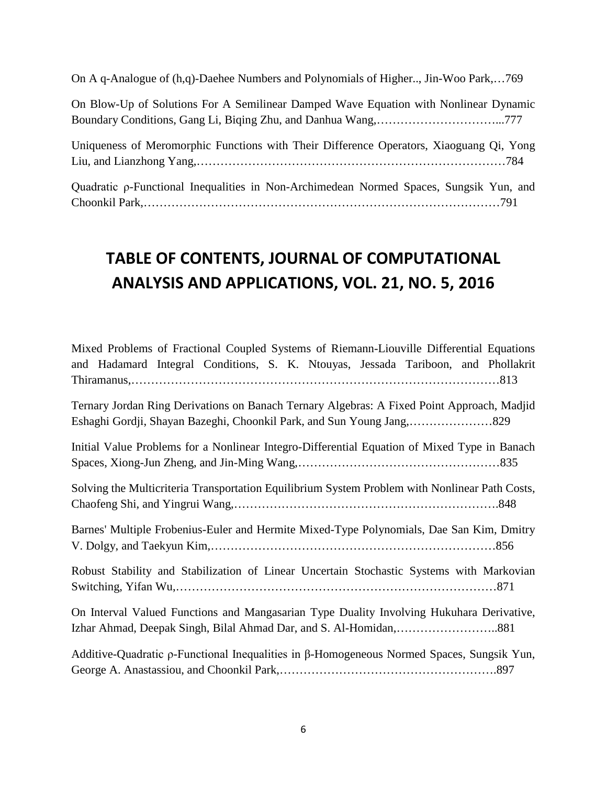On A q-Analogue of (h,q)-Daehee Numbers and Polynomials of Higher.., Jin-Woo Park,…769

On Blow-Up of Solutions For A Semilinear Damped Wave Equation with Nonlinear Dynamic Boundary Conditions, Gang Li, Biqing Zhu, and Danhua Wang,…………………………...777

Uniqueness of Meromorphic Functions with Their Difference Operators, Xiaoguang Qi, Yong Liu, and Lianzhong Yang,……………………………………………………………………784

Quadratic ρ-Functional Inequalities in Non-Archimedean Normed Spaces, Sungsik Yun, and Choonkil Park,………………………………………………………………………………791

#### **TABLE OF CONTENTS, JOURNAL OF COMPUTATIONAL ANALYSIS AND APPLICATIONS, VOL. 21, NO. 5, 2016**

| Mixed Problems of Fractional Coupled Systems of Riemann-Liouville Differential Equations<br>and Hadamard Integral Conditions, S. K. Ntouyas, Jessada Tariboon, and Phollakrit |
|-------------------------------------------------------------------------------------------------------------------------------------------------------------------------------|
| Ternary Jordan Ring Derivations on Banach Ternary Algebras: A Fixed Point Approach, Madjid                                                                                    |
| Initial Value Problems for a Nonlinear Integro-Differential Equation of Mixed Type in Banach                                                                                  |
| Solving the Multicriteria Transportation Equilibrium System Problem with Nonlinear Path Costs,                                                                                |
| Barnes' Multiple Frobenius-Euler and Hermite Mixed-Type Polynomials, Dae San Kim, Dmitry                                                                                      |
| Robust Stability and Stabilization of Linear Uncertain Stochastic Systems with Markovian                                                                                      |
| On Interval Valued Functions and Mangasarian Type Duality Involving Hukuhara Derivative,                                                                                      |
| Additive-Quadratic $\rho$ -Functional Inequalities in $\beta$ -Homogeneous Normed Spaces, Sungsik Yun,                                                                        |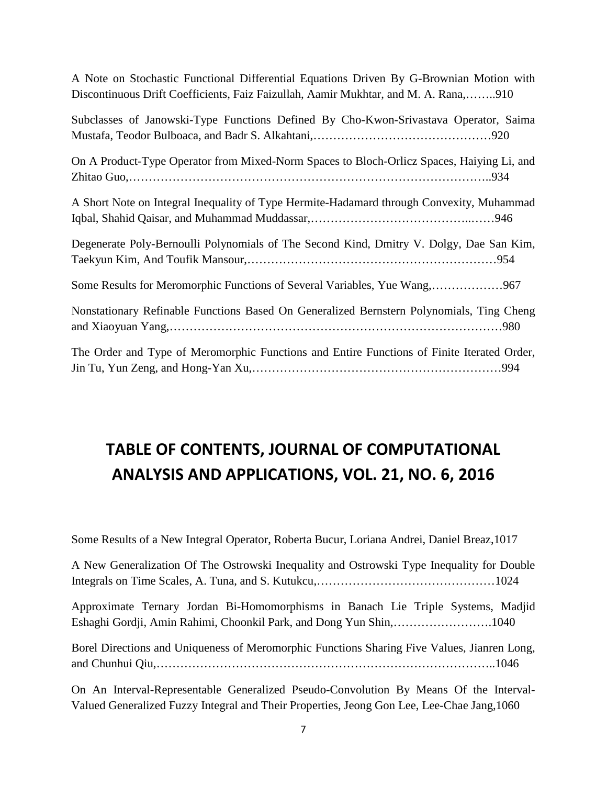| A Note on Stochastic Functional Differential Equations Driven By G-Brownian Motion with |  |  |  |  |
|-----------------------------------------------------------------------------------------|--|--|--|--|
| Discontinuous Drift Coefficients, Faiz Faizullah, Aamir Mukhtar, and M. A. Rana,910     |  |  |  |  |

| Subclasses of Janowski-Type Functions Defined By Cho-Kwon-Srivastava Operator, Saima       |
|--------------------------------------------------------------------------------------------|
| On A Product-Type Operator from Mixed-Norm Spaces to Bloch-Orlicz Spaces, Haiying Li, and  |
| A Short Note on Integral Inequality of Type Hermite-Hadamard through Convexity, Muhammad   |
| Degenerate Poly-Bernoulli Polynomials of The Second Kind, Dmitry V. Dolgy, Dae San Kim,    |
| Some Results for Meromorphic Functions of Several Variables, Yue Wang,967                  |
| Nonstationary Refinable Functions Based On Generalized Bernstern Polynomials, Ting Cheng   |
| The Order and Type of Meromorphic Functions and Entire Functions of Finite Iterated Order, |

### **TABLE OF CONTENTS, JOURNAL OF COMPUTATIONAL ANALYSIS AND APPLICATIONS, VOL. 21, NO. 6, 2016**

Some Results of a New Integral Operator, Roberta Bucur, Loriana Andrei, Daniel Breaz,1017

A New Generalization Of The Ostrowski Inequality and Ostrowski Type Inequality for Double Integrals on Time Scales, A. Tuna, and S. Kutukcu,………………………………………1024

Approximate Ternary Jordan Bi-Homomorphisms in Banach Lie Triple Systems, Madjid Eshaghi Gordji, Amin Rahimi, Choonkil Park, and Dong Yun Shin,…………………….1040

Borel Directions and Uniqueness of Meromorphic Functions Sharing Five Values, Jianren Long, and Chunhui Qiu,…………………………………………………………………………..1046

On An Interval-Representable Generalized Pseudo-Convolution By Means Of the Interval-Valued Generalized Fuzzy Integral and Their Properties, Jeong Gon Lee, Lee-Chae Jang,1060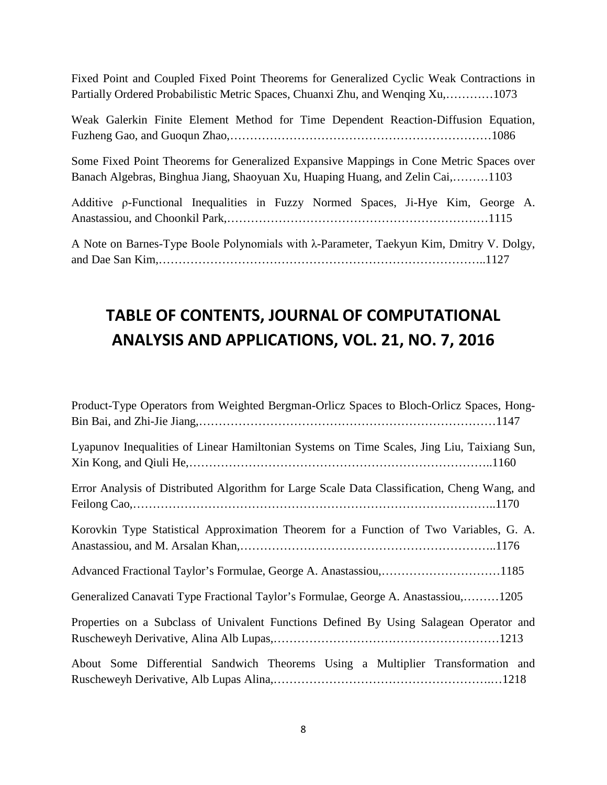Fixed Point and Coupled Fixed Point Theorems for Generalized Cyclic Weak Contractions in Partially Ordered Probabilistic Metric Spaces, Chuanxi Zhu, and Wenqing Xu,…………1073

Weak Galerkin Finite Element Method for Time Dependent Reaction-Diffusion Equation, Fuzheng Gao, and Guoqun Zhao,…………………………………………………………1086

Some Fixed Point Theorems for Generalized Expansive Mappings in Cone Metric Spaces over Banach Algebras, Binghua Jiang, Shaoyuan Xu, Huaping Huang, and Zelin Cai,………1103

Additive ρ-Functional Inequalities in Fuzzy Normed Spaces, Ji-Hye Kim, George A. Anastassiou, and Choonkil Park,…………………………………………………………1115

A Note on Barnes-Type Boole Polynomials with λ-Parameter, Taekyun Kim, Dmitry V. Dolgy, and Dae San Kim,………………………………………………………………………..1127

### **TABLE OF CONTENTS, JOURNAL OF COMPUTATIONAL ANALYSIS AND APPLICATIONS, VOL. 21, NO. 7, 2016**

| Product-Type Operators from Weighted Bergman-Orlicz Spaces to Bloch-Orlicz Spaces, Hong-     |
|----------------------------------------------------------------------------------------------|
| Lyapunov Inequalities of Linear Hamiltonian Systems on Time Scales, Jing Liu, Taixiang Sun,  |
| Error Analysis of Distributed Algorithm for Large Scale Data Classification, Cheng Wang, and |
| Korovkin Type Statistical Approximation Theorem for a Function of Two Variables, G. A.       |
| Advanced Fractional Taylor's Formulae, George A. Anastassiou,1185                            |
| Generalized Canavati Type Fractional Taylor's Formulae, George A. Anastassiou,1205           |
| Properties on a Subclass of Univalent Functions Defined By Using Salagean Operator and       |
| About Some Differential Sandwich Theorems Using a Multiplier Transformation and              |